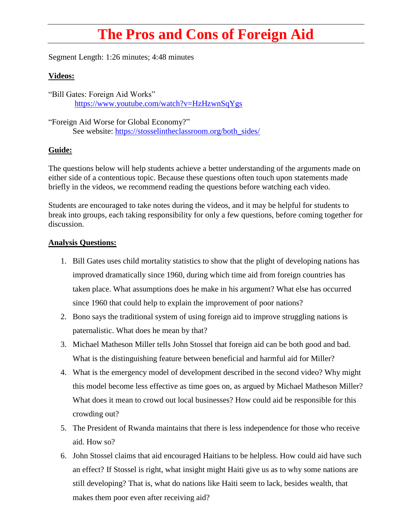## **The Pros and Cons of Foreign Aid**

Segment Length: 1:26 minutes; 4:48 minutes

## **Videos:**

"Bill Gates: Foreign Aid Works" <https://www.youtube.com/watch?v=HzHzwnSqYgs>

"Foreign Aid Worse for Global Economy?" See website: [https://stosselintheclassroom.org/both\\_sides/](https://stosselintheclassroom.org/both_sides/)

## **Guide:**

The questions below will help students achieve a better understanding of the arguments made on either side of a contentious topic. Because these questions often touch upon statements made briefly in the videos, we recommend reading the questions before watching each video.

Students are encouraged to take notes during the videos, and it may be helpful for students to break into groups, each taking responsibility for only a few questions, before coming together for discussion.

## **Analysis Questions:**

- 1. Bill Gates uses child mortality statistics to show that the plight of developing nations has improved dramatically since 1960, during which time aid from foreign countries has taken place. What assumptions does he make in his argument? What else has occurred since 1960 that could help to explain the improvement of poor nations?
- 2. Bono says the traditional system of using foreign aid to improve struggling nations is paternalistic. What does he mean by that?
- 3. Michael Matheson Miller tells John Stossel that foreign aid can be both good and bad. What is the distinguishing feature between beneficial and harmful aid for Miller?
- 4. What is the emergency model of development described in the second video? Why might this model become less effective as time goes on, as argued by Michael Matheson Miller? What does it mean to crowd out local businesses? How could aid be responsible for this crowding out?
- 5. The President of Rwanda maintains that there is less independence for those who receive aid. How so?
- 6. John Stossel claims that aid encouraged Haitians to be helpless. How could aid have such an effect? If Stossel is right, what insight might Haiti give us as to why some nations are still developing? That is, what do nations like Haiti seem to lack, besides wealth, that makes them poor even after receiving aid?